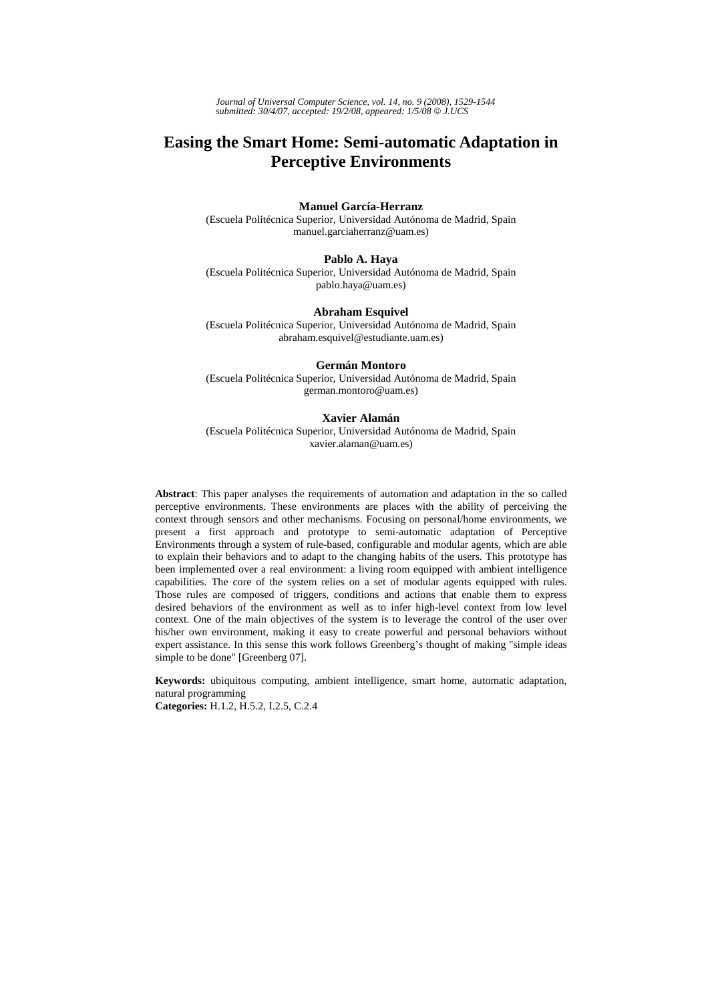*Journal of Universal Computer Science, vol. 14, no. 9 (2008), 1529-1544 submitted: 30/4/07, accepted: 19/2/08, appeared: 1/5/08* © *J.UCS*

# **Easing the Smart Home: Semi-automatic Adaptation in Perceptive Environments**

#### **Manuel García-Herranz**

(Escuela Politécnica Superior, Universidad Autónoma de Madrid, Spain manuel.garciaherranz@uam.es)

#### **Pablo A. Haya**

(Escuela Politécnica Superior, Universidad Autónoma de Madrid, Spain pablo.haya@uam.es)

#### **Abraham Esquivel**

(Escuela Politécnica Superior, Universidad Autónoma de Madrid, Spain abraham.esquivel@estudiante.uam.es)

#### **Germán Montoro**

(Escuela Politécnica Superior, Universidad Autónoma de Madrid, Spain german.montoro@uam.es)

#### **Xavier Alamán**

(Escuela Politécnica Superior, Universidad Autónoma de Madrid, Spain xavier.alaman@uam.es)

**Abstract**: This paper analyses the requirements of automation and adaptation in the so called perceptive environments. These environments are places with the ability of perceiving the context through sensors and other mechanisms. Focusing on personal/home environments, we present a first approach and prototype to semi-automatic adaptation of Perceptive Environments through a system of rule-based, configurable and modular agents, which are able to explain their behaviors and to adapt to the changing habits of the users. This prototype has been implemented over a real environment: a living room equipped with ambient intelligence capabilities. The core of the system relies on a set of modular agents equipped with rules. Those rules are composed of triggers, conditions and actions that enable them to express desired behaviors of the environment as well as to infer high-level context from low level context. One of the main objectives of the system is to leverage the control of the user over his/her own environment, making it easy to create powerful and personal behaviors without expert assistance. In this sense this work follows Greenberg's thought of making "simple ideas simple to be done" [Greenberg 07].

**Keywords:** ubiquitous computing, ambient intelligence, smart home, automatic adaptation, natural programming

**Categories:** H.1.2, H.5.2, I.2.5, C.2.4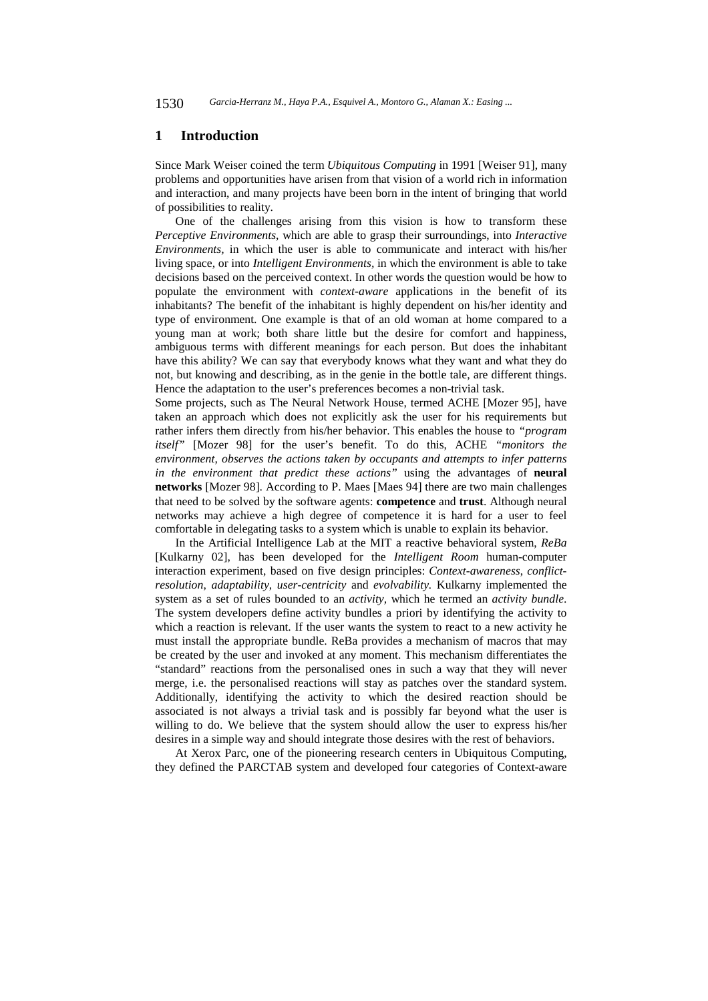### **1 Introduction**

Since Mark Weiser coined the term *Ubiquitous Computing* in 1991 [Weiser 91], many problems and opportunities have arisen from that vision of a world rich in information and interaction, and many projects have been born in the intent of bringing that world of possibilities to reality.

One of the challenges arising from this vision is how to transform these *Perceptive Environments*, which are able to grasp their surroundings, into *Interactive Environments,* in which the user is able to communicate and interact with his/her living space, or into *Intelligent Environments,* in which the environment is able to take decisions based on the perceived context. In other words the question would be how to populate the environment with *context-aware* applications in the benefit of its inhabitants? The benefit of the inhabitant is highly dependent on his/her identity and type of environment. One example is that of an old woman at home compared to a young man at work; both share little but the desire for comfort and happiness, ambiguous terms with different meanings for each person. But does the inhabitant have this ability? We can say that everybody knows what they want and what they do not, but knowing and describing, as in the genie in the bottle tale, are different things. Hence the adaptation to the user's preferences becomes a non-trivial task.

Some projects, such as The Neural Network House, termed ACHE [Mozer 95], have taken an approach which does not explicitly ask the user for his requirements but rather infers them directly from his/her behavior. This enables the house to *"program itself"* [Mozer 98] for the user's benefit. To do this, ACHE *"monitors the environment, observes the actions taken by occupants and attempts to infer patterns in the environment that predict these actions"* using the advantages of **neural networks** [Mozer 98]. According to P. Maes [Maes 94] there are two main challenges that need to be solved by the software agents: **competence** and **trust**. Although neural networks may achieve a high degree of competence it is hard for a user to feel comfortable in delegating tasks to a system which is unable to explain its behavior.

In the Artificial Intelligence Lab at the MIT a reactive behavioral system, *ReBa*  [Kulkarny 02], has been developed for the *Intelligent Room* human-computer interaction experiment, based on five design principles: *Context-awareness*, *conflictresolution*, *adaptability*, *user-centricity* and *evolvability.* Kulkarny implemented the system as a set of rules bounded to an *activity,* which he termed an *activity bundle*. The system developers define activity bundles a priori by identifying the activity to which a reaction is relevant. If the user wants the system to react to a new activity he must install the appropriate bundle. ReBa provides a mechanism of macros that may be created by the user and invoked at any moment. This mechanism differentiates the "standard" reactions from the personalised ones in such a way that they will never merge, i.e. the personalised reactions will stay as patches over the standard system. Additionally, identifying the activity to which the desired reaction should be associated is not always a trivial task and is possibly far beyond what the user is willing to do. We believe that the system should allow the user to express his/her desires in a simple way and should integrate those desires with the rest of behaviors.

At Xerox Parc, one of the pioneering research centers in Ubiquitous Computing, they defined the PARCTAB system and developed four categories of Context-aware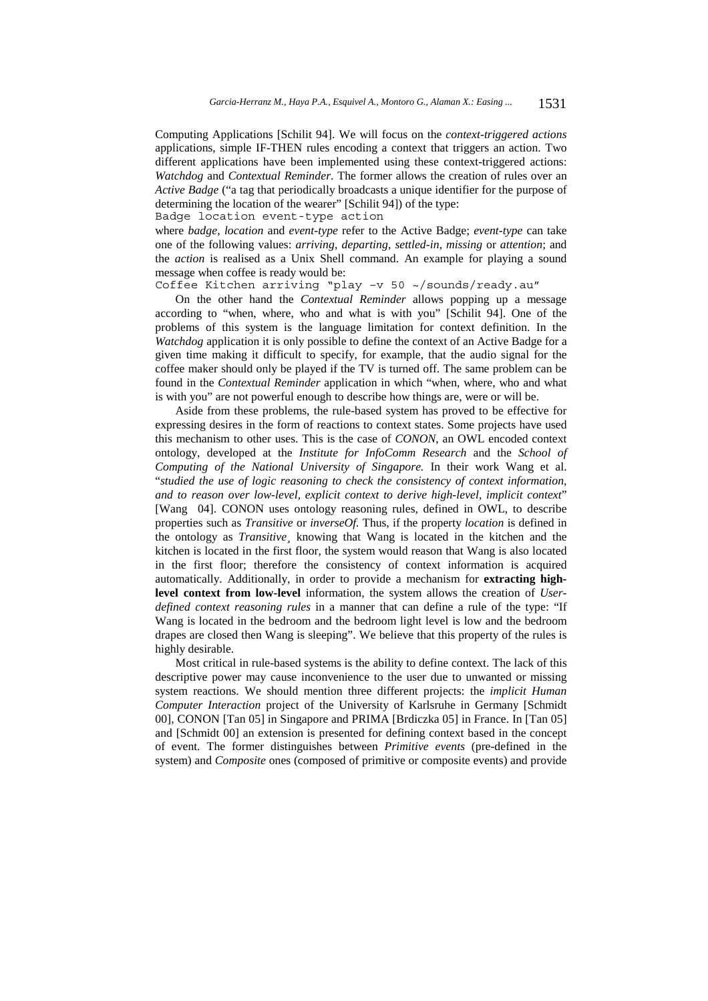Computing Applications [Schilit 94]. We will focus on the *context-triggered actions* applications, simple IF-THEN rules encoding a context that triggers an action. Two different applications have been implemented using these context-triggered actions: *Watchdog* and *Contextual Reminder*. The former allows the creation of rules over an *Active Badge* ("a tag that periodically broadcasts a unique identifier for the purpose of determining the location of the wearer" [Schilit 94]) of the type:

Badge location event-type action

where *badge, location* and *event-type* refer to the Active Badge; *event-type* can take one of the following values: *arriving*, *departing*, *settled-in*, *missing* or *attention*; and the *action* is realised as a Unix Shell command. An example for playing a sound message when coffee is ready would be:

Coffee Kitchen arriving "play –v 50 ~/sounds/ready.au"

On the other hand the *Contextual Reminder* allows popping up a message according to "when, where, who and what is with you" [Schilit 94]. One of the problems of this system is the language limitation for context definition. In the *Watchdog* application it is only possible to define the context of an Active Badge for a given time making it difficult to specify, for example, that the audio signal for the coffee maker should only be played if the TV is turned off. The same problem can be found in the *Contextual Reminder* application in which "when, where, who and what is with you" are not powerful enough to describe how things are, were or will be.

Aside from these problems, the rule-based system has proved to be effective for expressing desires in the form of reactions to context states. Some projects have used this mechanism to other uses. This is the case of *CONON*, an OWL encoded context ontology, developed at the *Institute for InfoComm Research* and the *School of Computing of the National University of Singapore.* In their work Wang et al. "*studied the use of logic reasoning to check the consistency of context information, and to reason over low-level, explicit context to derive high-level, implicit context*" [Wang 04]. CONON uses ontology reasoning rules, defined in OWL, to describe properties such as *Transitive* or *inverseOf.* Thus, if the property *location* is defined in the ontology as *Transitive¸* knowing that Wang is located in the kitchen and the kitchen is located in the first floor, the system would reason that Wang is also located in the first floor; therefore the consistency of context information is acquired automatically. Additionally, in order to provide a mechanism for **extracting highlevel context from low-level** information, the system allows the creation of *Userdefined context reasoning rules* in a manner that can define a rule of the type: "If Wang is located in the bedroom and the bedroom light level is low and the bedroom drapes are closed then Wang is sleeping". We believe that this property of the rules is highly desirable.

Most critical in rule-based systems is the ability to define context. The lack of this descriptive power may cause inconvenience to the user due to unwanted or missing system reactions. We should mention three different projects: the *implicit Human Computer Interaction* project of the University of Karlsruhe in Germany [Schmidt 00], CONON [Tan 05] in Singapore and PRIMA [Brdiczka 05] in France. In [Tan 05] and [Schmidt 00] an extension is presented for defining context based in the concept of event. The former distinguishes between *Primitive events* (pre-defined in the system) and *Composite* ones (composed of primitive or composite events) and provide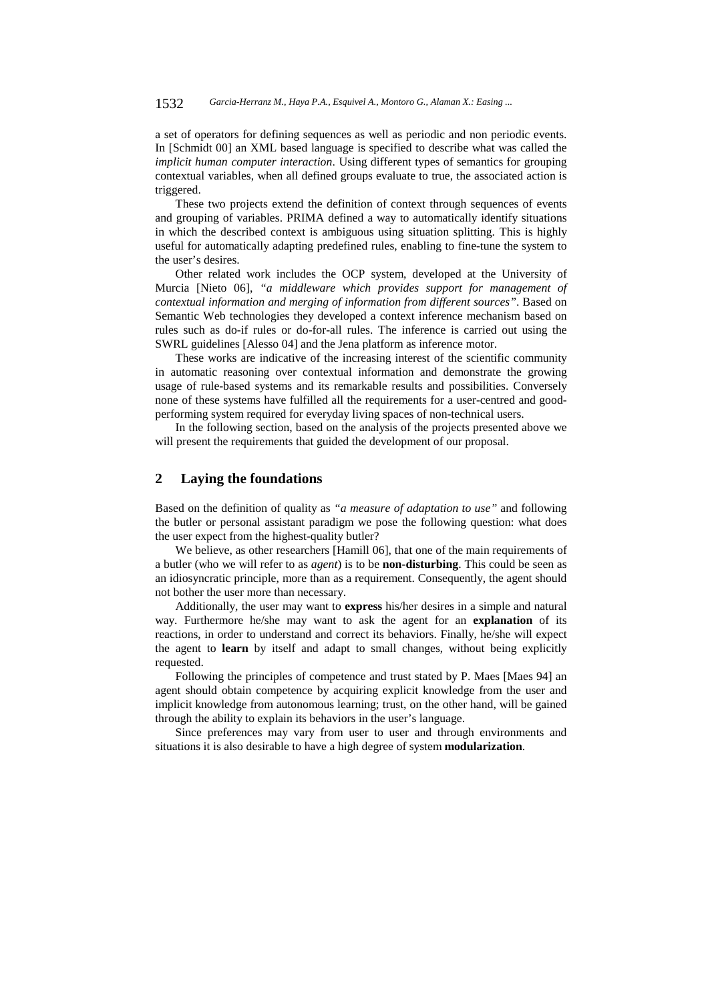#### 1532 *Garcia-Herranz M., Haya P.A., Esquivel A., Montoro G., Alaman X.: Easing ...*

a set of operators for defining sequences as well as periodic and non periodic events. In [Schmidt 00] an XML based language is specified to describe what was called the *implicit human computer interaction*. Using different types of semantics for grouping contextual variables, when all defined groups evaluate to true, the associated action is triggered.

These two projects extend the definition of context through sequences of events and grouping of variables. PRIMA defined a way to automatically identify situations in which the described context is ambiguous using situation splitting. This is highly useful for automatically adapting predefined rules, enabling to fine-tune the system to the user's desires.

Other related work includes the OCP system, developed at the University of Murcia [Nieto 06], *"a middleware which provides support for management of contextual information and merging of information from different sources"*. Based on Semantic Web technologies they developed a context inference mechanism based on rules such as do-if rules or do-for-all rules. The inference is carried out using the SWRL guidelines [Alesso 04] and the Jena platform as inference motor.

These works are indicative of the increasing interest of the scientific community in automatic reasoning over contextual information and demonstrate the growing usage of rule-based systems and its remarkable results and possibilities. Conversely none of these systems have fulfilled all the requirements for a user-centred and goodperforming system required for everyday living spaces of non-technical users.

In the following section, based on the analysis of the projects presented above we will present the requirements that guided the development of our proposal.

### **2 Laying the foundations**

Based on the definition of quality as *"a measure of adaptation to use"* and following the butler or personal assistant paradigm we pose the following question: what does the user expect from the highest-quality butler?

We believe, as other researchers [Hamill 06], that one of the main requirements of a butler (who we will refer to as *agent*) is to be **non-disturbing**. This could be seen as an idiosyncratic principle, more than as a requirement. Consequently, the agent should not bother the user more than necessary.

Additionally, the user may want to **express** his/her desires in a simple and natural way. Furthermore he/she may want to ask the agent for an **explanation** of its reactions, in order to understand and correct its behaviors. Finally, he/she will expect the agent to **learn** by itself and adapt to small changes, without being explicitly requested.

Following the principles of competence and trust stated by P. Maes [Maes 94] an agent should obtain competence by acquiring explicit knowledge from the user and implicit knowledge from autonomous learning; trust, on the other hand, will be gained through the ability to explain its behaviors in the user's language.

Since preferences may vary from user to user and through environments and situations it is also desirable to have a high degree of system **modularization**.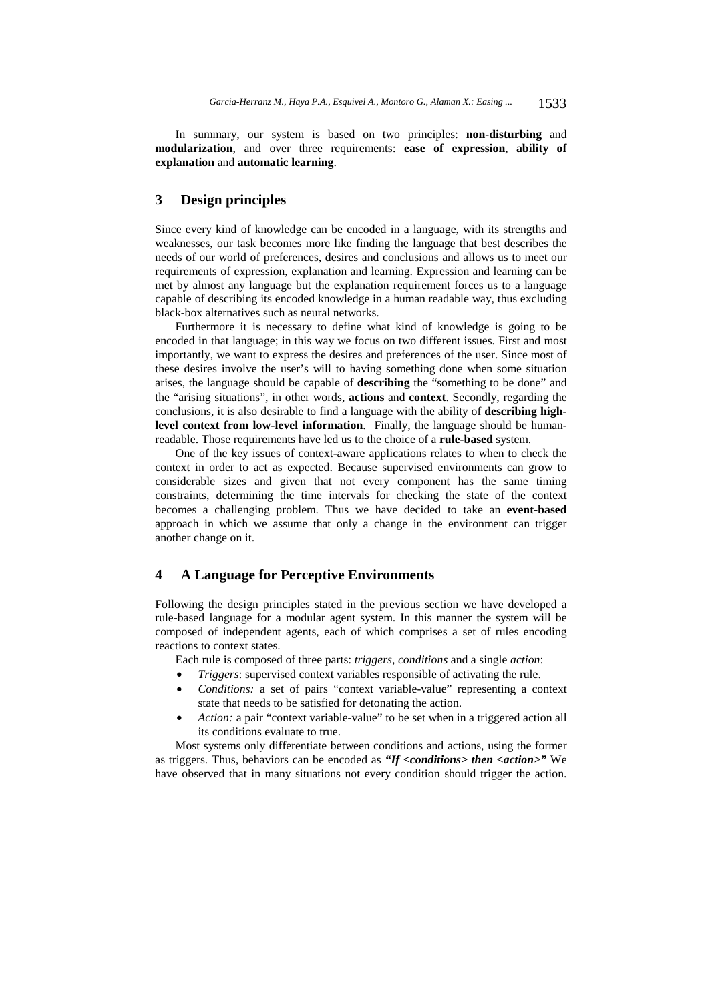In summary, our system is based on two principles: **non-disturbing** and **modularization**, and over three requirements: **ease of expression**, **ability of explanation** and **automatic learning**.

### **3 Design principles**

Since every kind of knowledge can be encoded in a language, with its strengths and weaknesses, our task becomes more like finding the language that best describes the needs of our world of preferences, desires and conclusions and allows us to meet our requirements of expression, explanation and learning. Expression and learning can be met by almost any language but the explanation requirement forces us to a language capable of describing its encoded knowledge in a human readable way, thus excluding black-box alternatives such as neural networks.

Furthermore it is necessary to define what kind of knowledge is going to be encoded in that language; in this way we focus on two different issues. First and most importantly, we want to express the desires and preferences of the user. Since most of these desires involve the user's will to having something done when some situation arises, the language should be capable of **describing** the "something to be done" and the "arising situations", in other words, **actions** and **context**. Secondly, regarding the conclusions, it is also desirable to find a language with the ability of **describing highlevel context from low-level information**. Finally, the language should be humanreadable. Those requirements have led us to the choice of a **rule-based** system.

One of the key issues of context-aware applications relates to when to check the context in order to act as expected. Because supervised environments can grow to considerable sizes and given that not every component has the same timing constraints, determining the time intervals for checking the state of the context becomes a challenging problem. Thus we have decided to take an **event-based**  approach in which we assume that only a change in the environment can trigger another change on it.

### **4 A Language for Perceptive Environments**

Following the design principles stated in the previous section we have developed a rule-based language for a modular agent system. In this manner the system will be composed of independent agents, each of which comprises a set of rules encoding reactions to context states.

Each rule is composed of three parts: *triggers*, *conditions* and a single *action*:

- *Triggers*: supervised context variables responsible of activating the rule.
- *Conditions:* a set of pairs "context variable-value" representing a context state that needs to be satisfied for detonating the action.
- *Action:* a pair "context variable-value" to be set when in a triggered action all its conditions evaluate to true.

Most systems only differentiate between conditions and actions, using the former as triggers. Thus, behaviors can be encoded as "If <conditions> then <action>" We have observed that in many situations not every condition should trigger the action.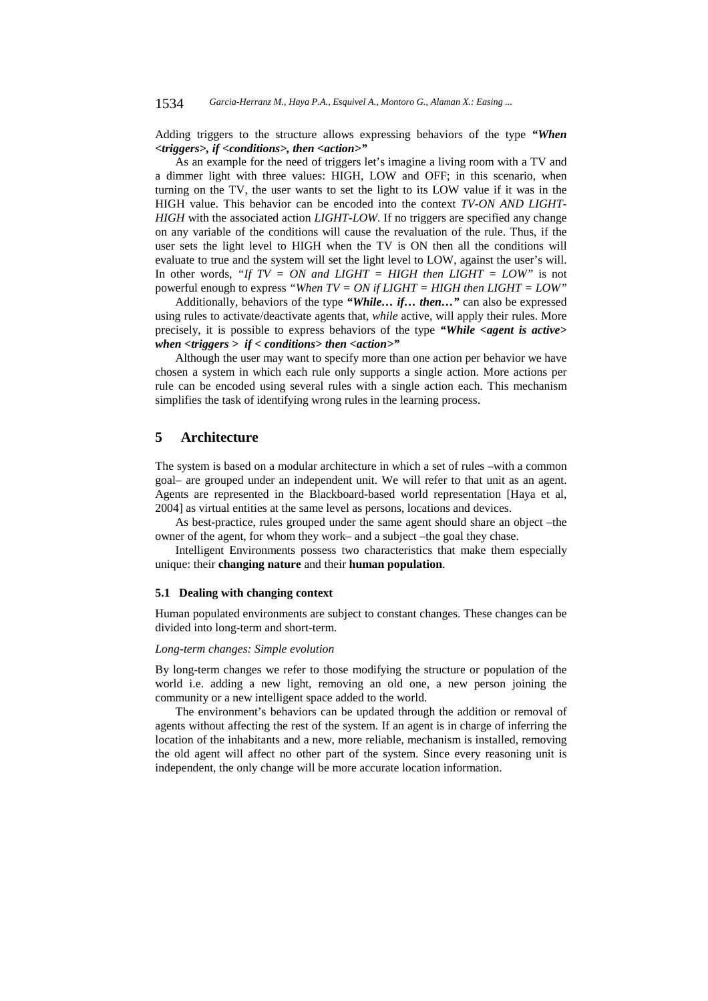Adding triggers to the structure allows expressing behaviors of the type *"When <triggers>, if <conditions>, then <action>"*

As an example for the need of triggers let's imagine a living room with a TV and a dimmer light with three values: HIGH, LOW and OFF; in this scenario, when turning on the TV, the user wants to set the light to its LOW value if it was in the HIGH value. This behavior can be encoded into the context *TV-ON AND LIGHT-HIGH* with the associated action *LIGHT-LOW*. If no triggers are specified any change on any variable of the conditions will cause the revaluation of the rule. Thus, if the user sets the light level to HIGH when the TV is ON then all the conditions will evaluate to true and the system will set the light level to LOW, against the user's will. In other words, *"If TV = ON and LIGHT = HIGH then LIGHT = LOW"* is not powerful enough to express *"When TV = ON if LIGHT = HIGH then LIGHT = LOW"* 

Additionally, behaviors of the type *"While… if… then…"* can also be expressed using rules to activate/deactivate agents that, *while* active, will apply their rules. More precisely, it is possible to express behaviors of the type *"While <agent is active> when <triggers > if < conditions> then <action>"*

Although the user may want to specify more than one action per behavior we have chosen a system in which each rule only supports a single action. More actions per rule can be encoded using several rules with a single action each. This mechanism simplifies the task of identifying wrong rules in the learning process.

## **5 Architecture**

The system is based on a modular architecture in which a set of rules –with a common goal– are grouped under an independent unit. We will refer to that unit as an agent. Agents are represented in the Blackboard-based world representation [Haya et al, 2004] as virtual entities at the same level as persons, locations and devices.

As best-practice, rules grouped under the same agent should share an object –the owner of the agent, for whom they work– and a subject –the goal they chase.

Intelligent Environments possess two characteristics that make them especially unique: their **changing nature** and their **human population**.

#### **5.1 Dealing with changing context**

Human populated environments are subject to constant changes. These changes can be divided into long-term and short-term.

### *Long-term changes: Simple evolution*

By long-term changes we refer to those modifying the structure or population of the world i.e. adding a new light, removing an old one, a new person joining the community or a new intelligent space added to the world.

The environment's behaviors can be updated through the addition or removal of agents without affecting the rest of the system. If an agent is in charge of inferring the location of the inhabitants and a new, more reliable, mechanism is installed, removing the old agent will affect no other part of the system. Since every reasoning unit is independent, the only change will be more accurate location information.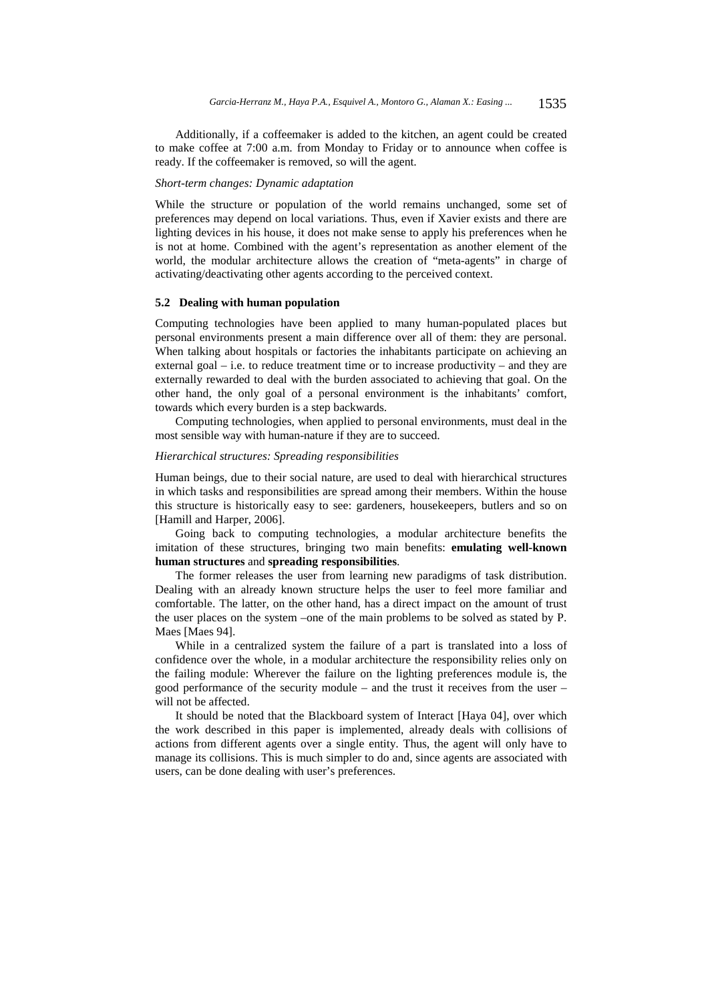Additionally, if a coffeemaker is added to the kitchen, an agent could be created to make coffee at 7:00 a.m. from Monday to Friday or to announce when coffee is ready. If the coffeemaker is removed, so will the agent.

#### *Short-term changes: Dynamic adaptation*

While the structure or population of the world remains unchanged, some set of preferences may depend on local variations. Thus, even if Xavier exists and there are lighting devices in his house, it does not make sense to apply his preferences when he is not at home. Combined with the agent's representation as another element of the world, the modular architecture allows the creation of "meta-agents" in charge of activating/deactivating other agents according to the perceived context.

#### **5.2 Dealing with human population**

Computing technologies have been applied to many human-populated places but personal environments present a main difference over all of them: they are personal. When talking about hospitals or factories the inhabitants participate on achieving an external goal – i.e. to reduce treatment time or to increase productivity – and they are externally rewarded to deal with the burden associated to achieving that goal. On the other hand, the only goal of a personal environment is the inhabitants' comfort, towards which every burden is a step backwards.

Computing technologies, when applied to personal environments, must deal in the most sensible way with human-nature if they are to succeed.

#### *Hierarchical structures: Spreading responsibilities*

Human beings, due to their social nature, are used to deal with hierarchical structures in which tasks and responsibilities are spread among their members. Within the house this structure is historically easy to see: gardeners, housekeepers, butlers and so on [Hamill and Harper, 2006].

Going back to computing technologies, a modular architecture benefits the imitation of these structures, bringing two main benefits: **emulating well-known human structures** and **spreading responsibilities**.

The former releases the user from learning new paradigms of task distribution. Dealing with an already known structure helps the user to feel more familiar and comfortable. The latter, on the other hand, has a direct impact on the amount of trust the user places on the system –one of the main problems to be solved as stated by P. Maes [Maes 94].

While in a centralized system the failure of a part is translated into a loss of confidence over the whole, in a modular architecture the responsibility relies only on the failing module: Wherever the failure on the lighting preferences module is, the good performance of the security module – and the trust it receives from the user – will not be affected.

It should be noted that the Blackboard system of Interact [Haya 04], over which the work described in this paper is implemented, already deals with collisions of actions from different agents over a single entity. Thus, the agent will only have to manage its collisions. This is much simpler to do and, since agents are associated with users, can be done dealing with user's preferences.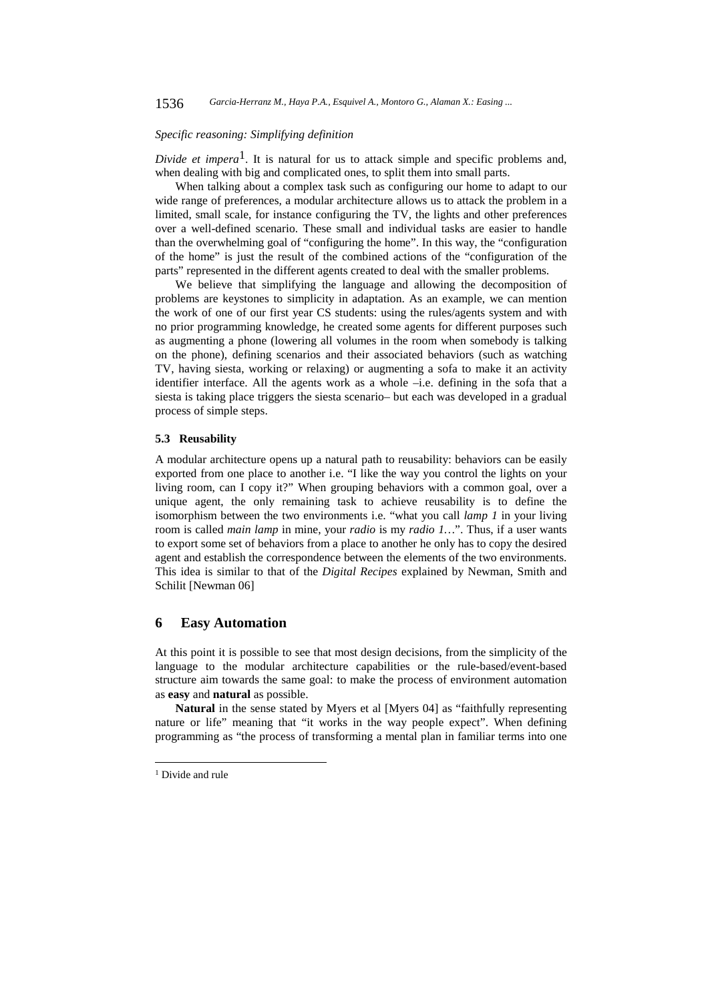#### *Specific reasoning: Simplifying definition*

*Divide et impera*<sup>1</sup>. It is natural for us to attack simple and specific problems and, when dealing with big and complicated ones, to split them into small parts.

When talking about a complex task such as configuring our home to adapt to our wide range of preferences, a modular architecture allows us to attack the problem in a limited, small scale, for instance configuring the TV, the lights and other preferences over a well-defined scenario. These small and individual tasks are easier to handle than the overwhelming goal of "configuring the home". In this way, the "configuration of the home" is just the result of the combined actions of the "configuration of the parts" represented in the different agents created to deal with the smaller problems.

We believe that simplifying the language and allowing the decomposition of problems are keystones to simplicity in adaptation. As an example, we can mention the work of one of our first year CS students: using the rules/agents system and with no prior programming knowledge, he created some agents for different purposes such as augmenting a phone (lowering all volumes in the room when somebody is talking on the phone), defining scenarios and their associated behaviors (such as watching TV, having siesta, working or relaxing) or augmenting a sofa to make it an activity identifier interface. All the agents work as a whole –i.e. defining in the sofa that a siesta is taking place triggers the siesta scenario– but each was developed in a gradual process of simple steps.

### **5.3 Reusability**

A modular architecture opens up a natural path to reusability: behaviors can be easily exported from one place to another i.e. "I like the way you control the lights on your living room, can I copy it?" When grouping behaviors with a common goal, over a unique agent, the only remaining task to achieve reusability is to define the isomorphism between the two environments i.e. "what you call *lamp 1* in your living room is called *main lamp* in mine, your *radio* is my *radio 1…*". Thus, if a user wants to export some set of behaviors from a place to another he only has to copy the desired agent and establish the correspondence between the elements of the two environments. This idea is similar to that of the *Digital Recipes* explained by Newman, Smith and Schilit [Newman 06]

### **6 Easy Automation**

At this point it is possible to see that most design decisions, from the simplicity of the language to the modular architecture capabilities or the rule-based/event-based structure aim towards the same goal: to make the process of environment automation as **easy** and **natural** as possible.

**Natural** in the sense stated by Myers et al [Myers 04] as "faithfully representing nature or life" meaning that "it works in the way people expect". When defining programming as "the process of transforming a mental plan in familiar terms into one

l

<sup>&</sup>lt;sup>1</sup> Divide and rule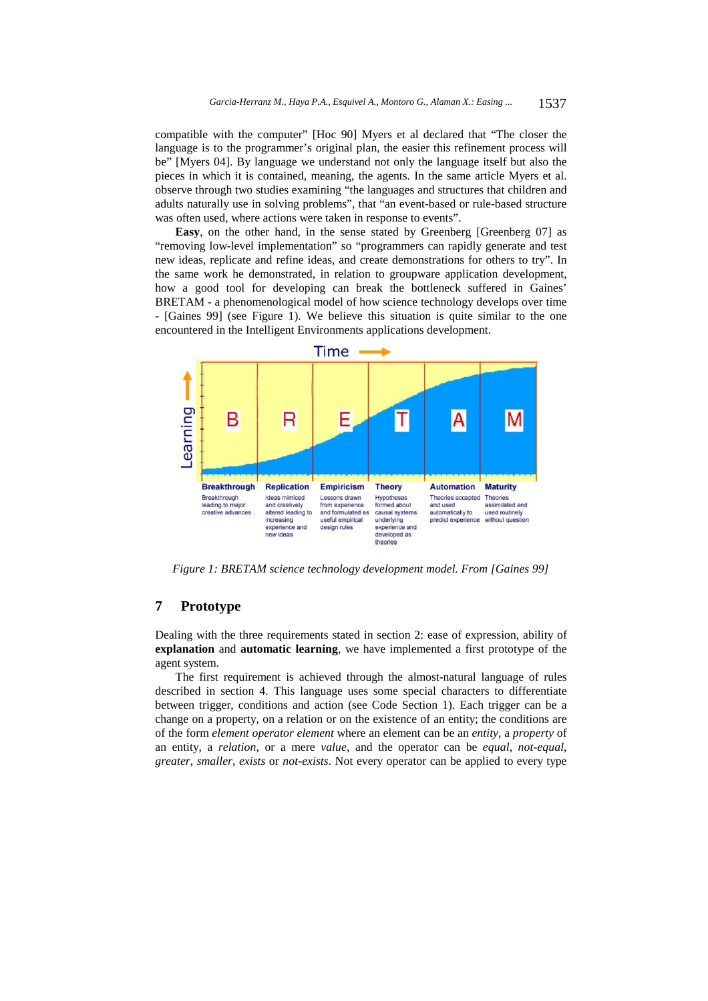compatible with the computer" [Hoc 90] Myers et al declared that "The closer the language is to the programmer's original plan, the easier this refinement process will be" [Myers 04]. By language we understand not only the language itself but also the pieces in which it is contained, meaning, the agents. In the same article Myers et al. observe through two studies examining "the languages and structures that children and adults naturally use in solving problems", that "an event-based or rule-based structure was often used, where actions were taken in response to events".

**Easy**, on the other hand, in the sense stated by Greenberg [Greenberg 07] as "removing low-level implementation" so "programmers can rapidly generate and test new ideas, replicate and refine ideas, and create demonstrations for others to try". In the same work he demonstrated, in relation to groupware application development, how a good tool for developing can break the bottleneck suffered in Gaines' BRETAM - a phenomenological model of how science technology develops over time - [Gaines 99] (see Figure 1). We believe this situation is quite similar to the one encountered in the Intelligent Environments applications development.



*Figure 1: BRETAM science technology development model. From [Gaines 99]* 

# **7 Prototype**

Dealing with the three requirements stated in section 2: ease of expression, ability of **explanation** and **automatic learning**, we have implemented a first prototype of the agent system.

The first requirement is achieved through the almost-natural language of rules described in section 4. This language uses some special characters to differentiate between trigger, conditions and action (see Code Section 1). Each trigger can be a change on a property, on a relation or on the existence of an entity; the conditions are of the form *element operator element* where an element can be an *entity*, a *property* of an entity, a *relation,* or a mere *value,* and the operator can be *equal*, *not-equal*, *greater*, *smaller*, *exists* or *not-exists*. Not every operator can be applied to every type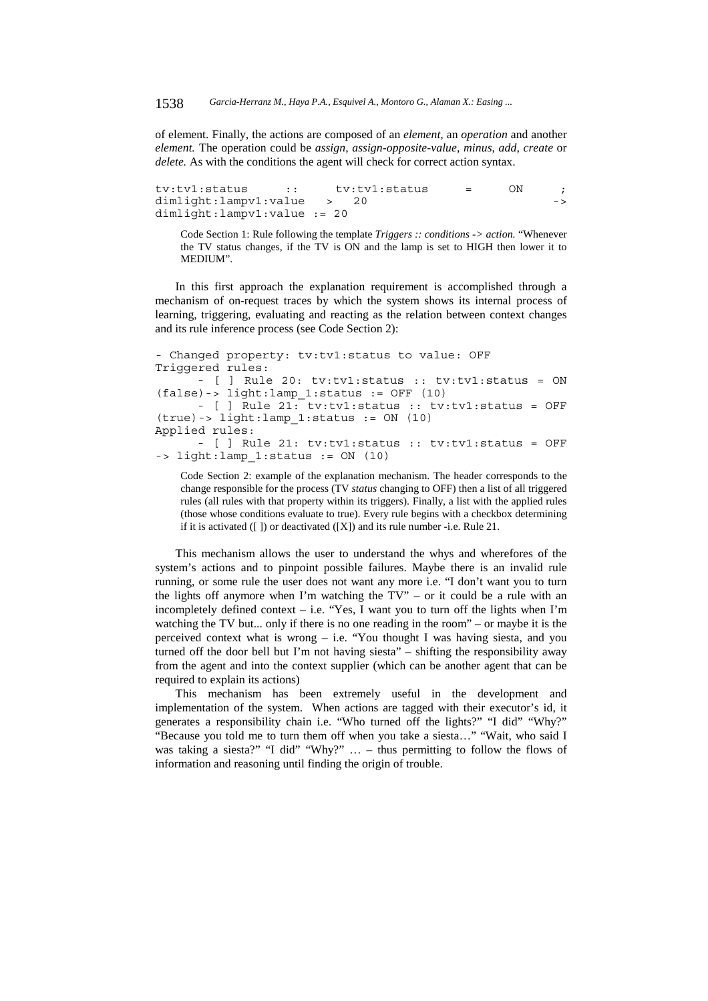of element. Finally, the actions are composed of an *element,* an *operation* and another *element.* The operation could be *assign*, *assign-opposite-value*, *minus*, *add*, *create* or *delete.* As with the conditions the agent will check for correct action syntax.

```
tv:tv1:status :: tv:tv1:status = ON ; 
dimlight:lampv1:value > 20 ->
dimlight:lampv1:value := 20
```
Code Section 1: Rule following the template *Triggers :: conditions -> action.* "Whenever the TV status changes, if the TV is ON and the lamp is set to HIGH then lower it to MEDIUM".

In this first approach the explanation requirement is accomplished through a mechanism of on-request traces by which the system shows its internal process of learning, triggering, evaluating and reacting as the relation between context changes and its rule inference process (see Code Section 2):

```
- Changed property: tv:tv1:status to value: OFF 
Triggered rules: 
       - [ ] Rule 20: tv:tv1:status :: tv:tv1:status = ON 
(false)-> light:lamp_1:status := OFF (10) 
 - [ ] Rule 21: tv:tv1:status :: tv:tv1:status = OFF 
(true)-> light:lamp_1:status := ON (10) 
Applied rules: 
       - [ ] Rule 21: tv:tv1:status :: tv:tv1:status = OFF 
\Rightarrow light:lamp 1:status := ON (10)
```
Code Section 2: example of the explanation mechanism. The header corresponds to the change responsible for the process (TV *status* changing to OFF) then a list of all triggered rules (all rules with that property within its triggers). Finally, a list with the applied rules (those whose conditions evaluate to true). Every rule begins with a checkbox determining if it is activated  $([ )]$  or deactivated  $([ X ])$  and its rule number -i.e. Rule 21.

This mechanism allows the user to understand the whys and wherefores of the system's actions and to pinpoint possible failures. Maybe there is an invalid rule running, or some rule the user does not want any more i.e. "I don't want you to turn the lights off anymore when I'm watching the TV" – or it could be a rule with an incompletely defined context – i.e. "Yes, I want you to turn off the lights when I'm watching the TV but... only if there is no one reading in the room" – or maybe it is the perceived context what is wrong – i.e. "You thought I was having siesta, and you turned off the door bell but I'm not having siesta" – shifting the responsibility away from the agent and into the context supplier (which can be another agent that can be required to explain its actions)

This mechanism has been extremely useful in the development and implementation of the system. When actions are tagged with their executor's id, it generates a responsibility chain i.e. "Who turned off the lights?" "I did" "Why?" "Because you told me to turn them off when you take a siesta…" "Wait, who said I was taking a siesta?" "I did" "Why?"  $\dots$  – thus permitting to follow the flows of information and reasoning until finding the origin of trouble.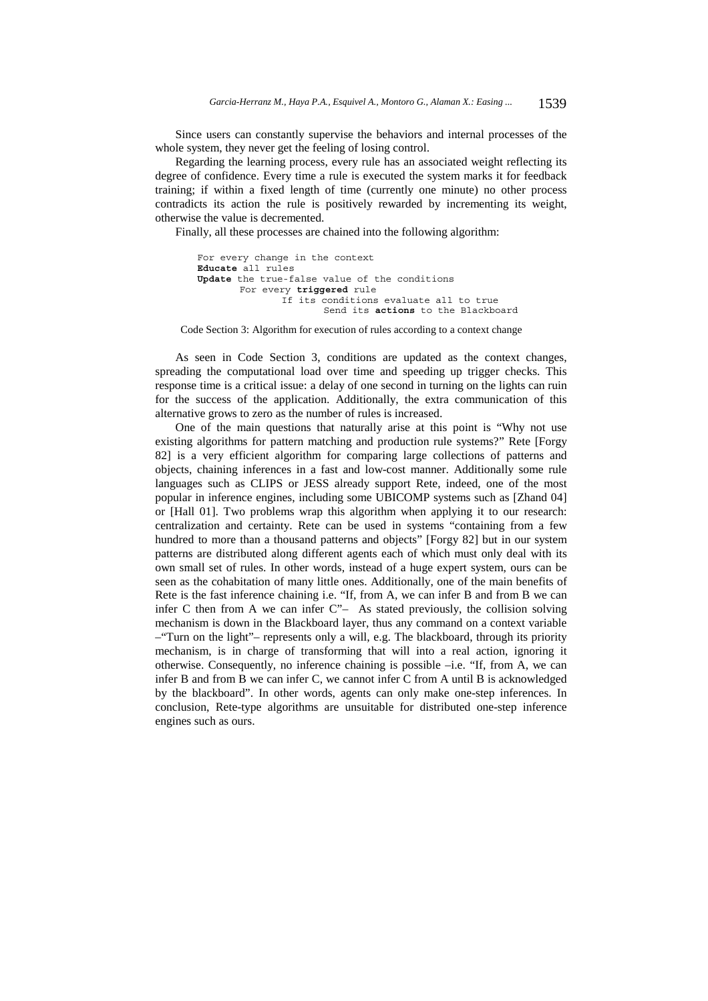Since users can constantly supervise the behaviors and internal processes of the whole system, they never get the feeling of losing control.

Regarding the learning process, every rule has an associated weight reflecting its degree of confidence. Every time a rule is executed the system marks it for feedback training; if within a fixed length of time (currently one minute) no other process contradicts its action the rule is positively rewarded by incrementing its weight, otherwise the value is decremented.

Finally, all these processes are chained into the following algorithm:

```
For every change in the context 
 Educate all rules 
 Update the true-false value of the conditions 
        For every triggered rule 
                If its conditions evaluate all to true 
                        Send its actions to the Blackboard
```
Code Section 3: Algorithm for execution of rules according to a context change

As seen in Code Section 3, conditions are updated as the context changes, spreading the computational load over time and speeding up trigger checks. This response time is a critical issue: a delay of one second in turning on the lights can ruin for the success of the application. Additionally, the extra communication of this alternative grows to zero as the number of rules is increased.

One of the main questions that naturally arise at this point is "Why not use existing algorithms for pattern matching and production rule systems?" Rete [Forgy 82] is a very efficient algorithm for comparing large collections of patterns and objects, chaining inferences in a fast and low-cost manner. Additionally some rule languages such as CLIPS or JESS already support Rete, indeed, one of the most popular in inference engines, including some UBICOMP systems such as [Zhand 04] or [Hall 01]. Two problems wrap this algorithm when applying it to our research: centralization and certainty. Rete can be used in systems "containing from a few hundred to more than a thousand patterns and objects" [Forgy 82] but in our system patterns are distributed along different agents each of which must only deal with its own small set of rules. In other words, instead of a huge expert system, ours can be seen as the cohabitation of many little ones. Additionally, one of the main benefits of Rete is the fast inference chaining i.e. "If, from A, we can infer B and from B we can infer C then from A we can infer C"– As stated previously, the collision solving mechanism is down in the Blackboard layer, thus any command on a context variable –"Turn on the light"– represents only a will, e.g. The blackboard, through its priority mechanism, is in charge of transforming that will into a real action, ignoring it otherwise. Consequently, no inference chaining is possible –i.e. "If, from A, we can infer B and from B we can infer C, we cannot infer C from A until B is acknowledged by the blackboard". In other words, agents can only make one-step inferences. In conclusion, Rete-type algorithms are unsuitable for distributed one-step inference engines such as ours.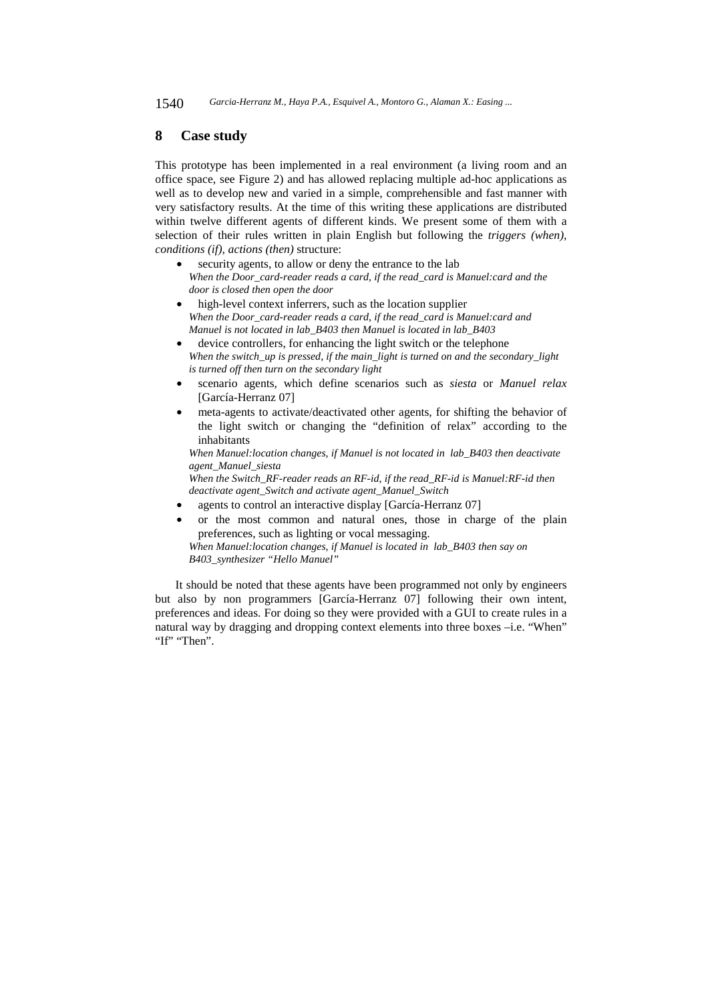### **8 Case study**

This prototype has been implemented in a real environment (a living room and an office space, see Figure 2) and has allowed replacing multiple ad-hoc applications as well as to develop new and varied in a simple, comprehensible and fast manner with very satisfactory results. At the time of this writing these applications are distributed within twelve different agents of different kinds. We present some of them with a selection of their rules written in plain English but following the *triggers (when), conditions (if), actions (then)* structure:

- security agents, to allow or deny the entrance to the lab *When the Door\_card-reader reads a card, if the read\_card is Manuel:card and the door is closed then open the door*
- high-level context inferrers, such as the location supplier *When the Door\_card-reader reads a card, if the read\_card is Manuel:card and Manuel is not located in lab\_B403 then Manuel is located in lab\_B403*
- device controllers, for enhancing the light switch or the telephone *When the switch\_up is pressed, if the main\_light is turned on and the secondary\_light is turned off then turn on the secondary light*
- scenario agents, which define scenarios such as *siesta* or *Manuel relax* [García-Herranz 07]
- meta-agents to activate/deactivated other agents, for shifting the behavior of the light switch or changing the "definition of relax" according to the inhabitants

*When Manuel:location changes, if Manuel is not located in lab\_B403 then deactivate agent\_Manuel\_siesta* 

*When the Switch\_RF-reader reads an RF-id, if the read\_RF-id is Manuel:RF-id then deactivate agent\_Switch and activate agent\_Manuel\_Switch* 

- agents to control an interactive display [García-Herranz 07]
- or the most common and natural ones, those in charge of the plain preferences, such as lighting or vocal messaging. *When Manuel:location changes, if Manuel is located in lab\_B403 then say on B403\_synthesizer "Hello Manuel"*

It should be noted that these agents have been programmed not only by engineers but also by non programmers [García-Herranz 07] following their own intent, preferences and ideas. For doing so they were provided with a GUI to create rules in a natural way by dragging and dropping context elements into three boxes –i.e. "When" "If" "Then".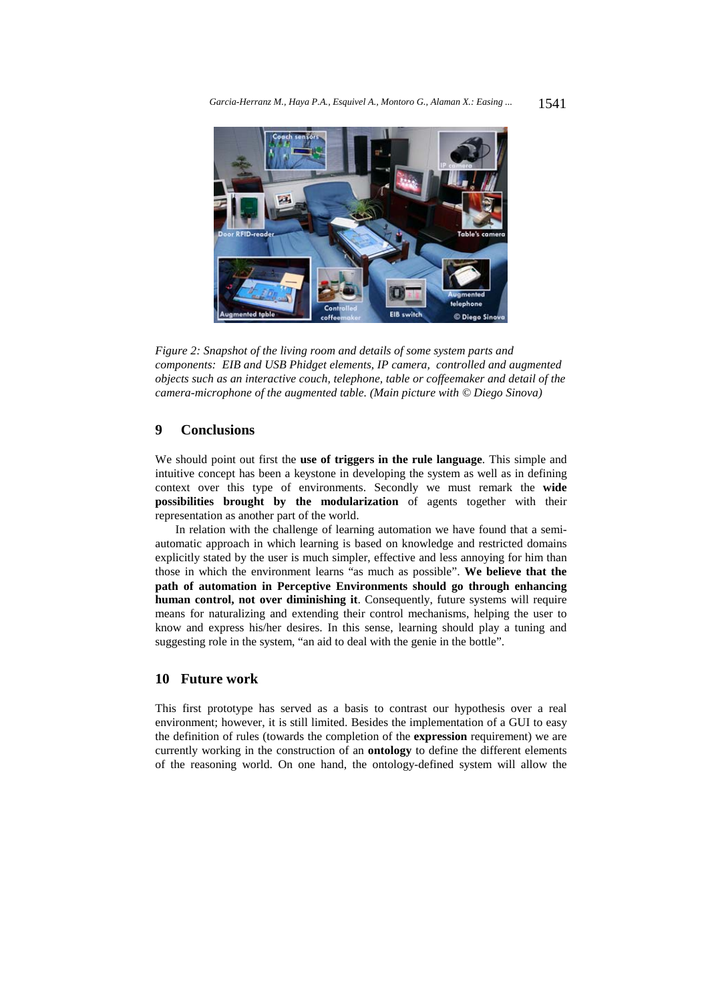

*Figure 2: Snapshot of the living room and details of some system parts and components: EIB and USB Phidget elements, IP camera, controlled and augmented objects such as an interactive couch, telephone, table or coffeemaker and detail of the camera-microphone of the augmented table. (Main picture with © Diego Sinova)* 

# **9 Conclusions**

We should point out first the **use of triggers in the rule language**. This simple and intuitive concept has been a keystone in developing the system as well as in defining context over this type of environments. Secondly we must remark the **wide possibilities brought by the modularization** of agents together with their representation as another part of the world.

In relation with the challenge of learning automation we have found that a semiautomatic approach in which learning is based on knowledge and restricted domains explicitly stated by the user is much simpler, effective and less annoying for him than those in which the environment learns "as much as possible". **We believe that the path of automation in Perceptive Environments should go through enhancing human control, not over diminishing it**. Consequently, future systems will require means for naturalizing and extending their control mechanisms, helping the user to know and express his/her desires. In this sense, learning should play a tuning and suggesting role in the system, "an aid to deal with the genie in the bottle".

# **10 Future work**

This first prototype has served as a basis to contrast our hypothesis over a real environment; however, it is still limited. Besides the implementation of a GUI to easy the definition of rules (towards the completion of the **expression** requirement) we are currently working in the construction of an **ontology** to define the different elements of the reasoning world. On one hand, the ontology-defined system will allow the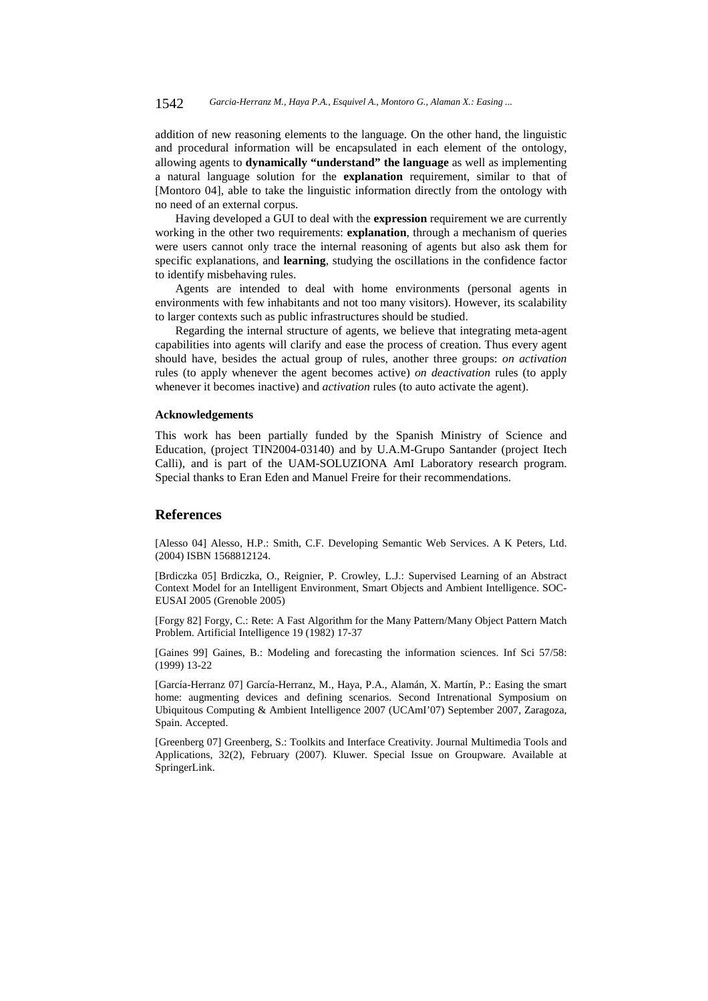addition of new reasoning elements to the language. On the other hand, the linguistic and procedural information will be encapsulated in each element of the ontology, allowing agents to **dynamically "understand" the language** as well as implementing a natural language solution for the **explanation** requirement, similar to that of [Montoro 04], able to take the linguistic information directly from the ontology with no need of an external corpus.

Having developed a GUI to deal with the **expression** requirement we are currently working in the other two requirements: **explanation**, through a mechanism of queries were users cannot only trace the internal reasoning of agents but also ask them for specific explanations, and **learning**, studying the oscillations in the confidence factor to identify misbehaving rules.

Agents are intended to deal with home environments (personal agents in environments with few inhabitants and not too many visitors). However, its scalability to larger contexts such as public infrastructures should be studied.

Regarding the internal structure of agents, we believe that integrating meta-agent capabilities into agents will clarify and ease the process of creation. Thus every agent should have, besides the actual group of rules, another three groups: *on activation* rules (to apply whenever the agent becomes active) *on deactivation* rules (to apply whenever it becomes inactive) and *activation* rules (to auto activate the agent).

### **Acknowledgements**

This work has been partially funded by the Spanish Ministry of Science and Education, (project TIN2004-03140) and by U.A.M-Grupo Santander (project Itech Calli), and is part of the UAM-SOLUZIONA AmI Laboratory research program. Special thanks to Eran Eden and Manuel Freire for their recommendations.

### **References**

[Alesso 04] Alesso, H.P.: Smith, C.F. Developing Semantic Web Services. A K Peters, Ltd. (2004) ISBN 1568812124.

[Brdiczka 05] Brdiczka, O., Reignier, P. Crowley, L.J.: Supervised Learning of an Abstract Context Model for an Intelligent Environment, Smart Objects and Ambient Intelligence. SOC-EUSAI 2005 (Grenoble 2005)

[Forgy 82] Forgy, C.: Rete: A Fast Algorithm for the Many Pattern/Many Object Pattern Match Problem. Artificial Intelligence 19 (1982) 17-37

[Gaines 99] Gaines, B.: Modeling and forecasting the information sciences. Inf Sci 57/58: (1999) 13-22

[García-Herranz 07] García-Herranz, M., Haya, P.A., Alamán, X. Martín, P.: Easing the smart home: augmenting devices and defining scenarios. Second Intrenational Symposium on Ubiquitous Computing & Ambient Intelligence 2007 (UCAmI'07) September 2007, Zaragoza, Spain. Accepted.

[Greenberg 07] Greenberg, S.: Toolkits and Interface Creativity. Journal Multimedia Tools and Applications, 32(2), February (2007). Kluwer. Special Issue on Groupware. Available at SpringerLink.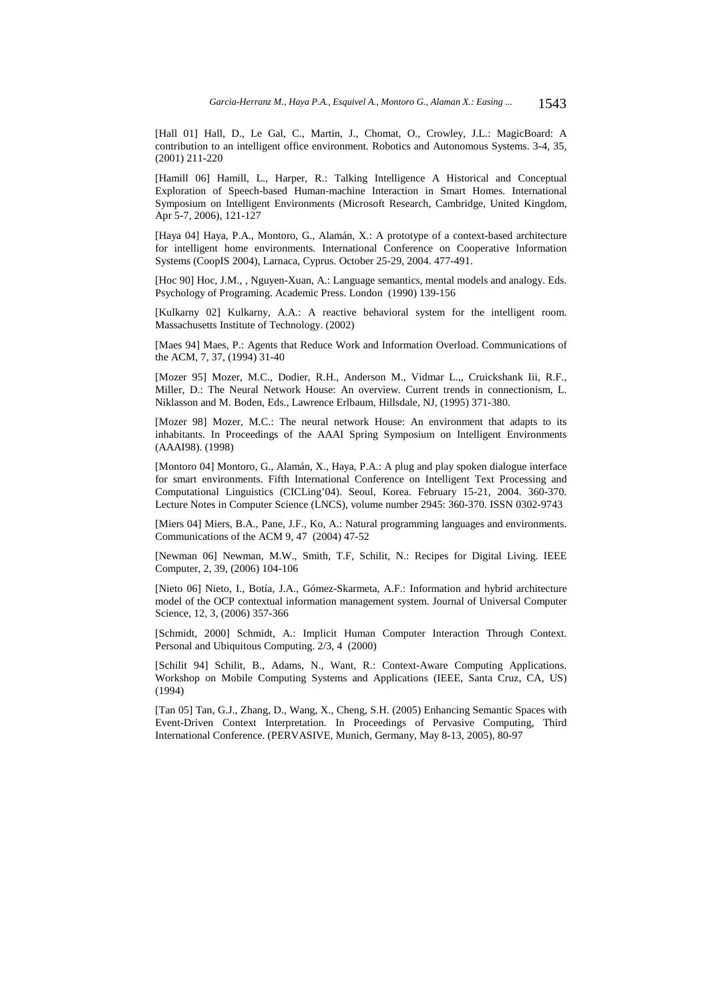[Hall 01] Hall, D., Le Gal, C., Martin, J., Chomat, O., Crowley, J.L.: MagicBoard: A contribution to an intelligent office environment. Robotics and Autonomous Systems. 3-4, 35, (2001) 211-220

[Hamill 06] Hamill, L., Harper, R.: Talking Intelligence A Historical and Conceptual Exploration of Speech-based Human-machine Interaction in Smart Homes. International Symposium on Intelligent Environments (Microsoft Research, Cambridge, United Kingdom, Apr 5-7, 2006), 121-127

[Haya 04] Haya, P.A., Montoro, G., Alamán, X.: A prototype of a context-based architecture for intelligent home environments. International Conference on Cooperative Information Systems (CoopIS 2004), Larnaca, Cyprus. October 25-29, 2004. 477-491.

[Hoc 90] Hoc, J.M., , Nguyen-Xuan, A.: Language semantics, mental models and analogy. Eds. Psychology of Programing. Academic Press. London (1990) 139-156

[Kulkarny 02] Kulkarny, A.A.: A reactive behavioral system for the intelligent room. Massachusetts Institute of Technology. (2002)

[Maes 94] Maes, P.: Agents that Reduce Work and Information Overload. Communications of the ACM, 7, 37, (1994) 31-40

[Mozer 95] Mozer, M.C., Dodier, R.H., Anderson M., Vidmar L.,, Cruickshank Iii, R.F., Miller, D.: The Neural Network House: An overview. Current trends in connectionism, L. Niklasson and M. Boden, Eds., Lawrence Erlbaum, Hillsdale, NJ, (1995) 371-380.

[Mozer 98] Mozer, M.C.: The neural network House: An environment that adapts to its inhabitants. In Proceedings of the AAAI Spring Symposium on Intelligent Environments (AAAI98). (1998)

[Montoro 04] Montoro, G., Alamán, X., Haya, P.A.: A plug and play spoken dialogue interface for smart environments. Fifth International Conference on Intelligent Text Processing and Computational Linguistics (CICLing'04). Seoul, Korea. February 15-21, 2004. 360-370. Lecture Notes in Computer Science (LNCS), volume number 2945: 360-370. ISSN 0302-9743

[Miers 04] Miers, B.A., Pane, J.F., Ko, A.: Natural programming languages and environments. Communications of the ACM 9, 47 (2004) 47-52

[Newman 06] Newman, M.W., Smith, T.F, Schilit, N.: Recipes for Digital Living. IEEE Computer, 2, 39, (2006) 104-106

[Nieto 06] Nieto, I., Botía, J.A., Gómez-Skarmeta, A.F.: Information and hybrid architecture model of the OCP contextual information management system. Journal of Universal Computer Science, 12, 3, (2006) 357-366

[Schmidt, 2000] Schmidt, A.: Implicit Human Computer Interaction Through Context. Personal and Ubiquitous Computing. 2/3, 4 (2000)

[Schilit 94] Schilit, B., Adams, N., Want, R.: Context-Aware Computing Applications. Workshop on Mobile Computing Systems and Applications (IEEE, Santa Cruz, CA, US) (1994)

[Tan 05] Tan, G.J., Zhang, D., Wang, X., Cheng, S.H. (2005) Enhancing Semantic Spaces with Event-Driven Context Interpretation. In Proceedings of Pervasive Computing, Third International Conference. (PERVASIVE, Munich, Germany, May 8-13, 2005), 80-97